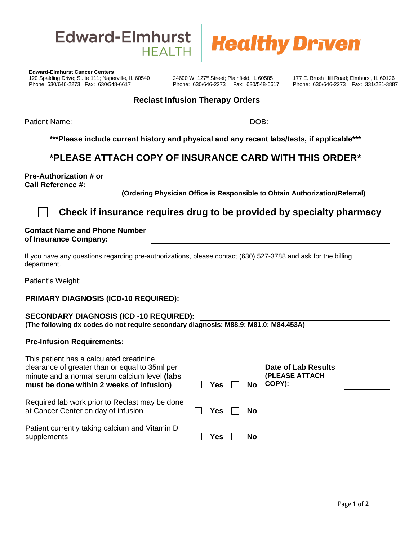



**Edward-Elmhurst Cancer Centers** 120 Spalding Drive; Suite 111; Naperville, IL 60540 24600 W. 127<sup>th</sup> Street; Plainfield, IL 60585 177 E. Brush Hill Road; Elmhurst, IL 60126 Phone: 630/646-2273 Fax: 630/548-6617 Phone: 630/646-2273 Fax: 630/548-6617 Phone: 630/646-2273 Fax: 331/221-3887

### **Reclast Infusion Therapy Orders**

Patient Name:  $DOB$ :

**\*\*\*Please include current history and physical and any recent labs/tests, if applicable\*\*\***

# **\*PLEASE ATTACH COPY OF INSURANCE CARD WITH THIS ORDER\***

**Pre-Authorization # or Call Reference #:**

**(Ordering Physician Office is Responsible to Obtain Authorization/Referral)**

## **Check if insurance requires drug to be provided by specialty pharmacy**

#### **Contact Name and Phone Number of Insurance Company:**

If you have any questions regarding pre-authorizations, please contact (630) 527-3788 and ask for the billing department.

Patient's Weight:

| <b>PRIMARY DIAGNOSIS (ICD-10 REQUIRED):</b> |
|---------------------------------------------|
|---------------------------------------------|

### **SECONDARY DIAGNOSIS (ICD -10 REQUIRED):**

**(The following dx codes do not require secondary diagnosis: M88.9; M81.0; M84.453A)**

#### **Pre-Infusion Requirements:**

| This patient has a calculated creatinine<br>clearance of greater than or equal to 35ml per<br>minute and a normal serum calcium level (labs<br>must be done within 2 weeks of infusion) | Yes | No | <b>Date of Lab Results</b><br>(PLEASE ATTACH<br>COPY): |
|-----------------------------------------------------------------------------------------------------------------------------------------------------------------------------------------|-----|----|--------------------------------------------------------|
| Required lab work prior to Reclast may be done<br>at Cancer Center on day of infusion                                                                                                   | Yes | No |                                                        |
| Patient currently taking calcium and Vitamin D<br>supplements                                                                                                                           | Yes | No |                                                        |